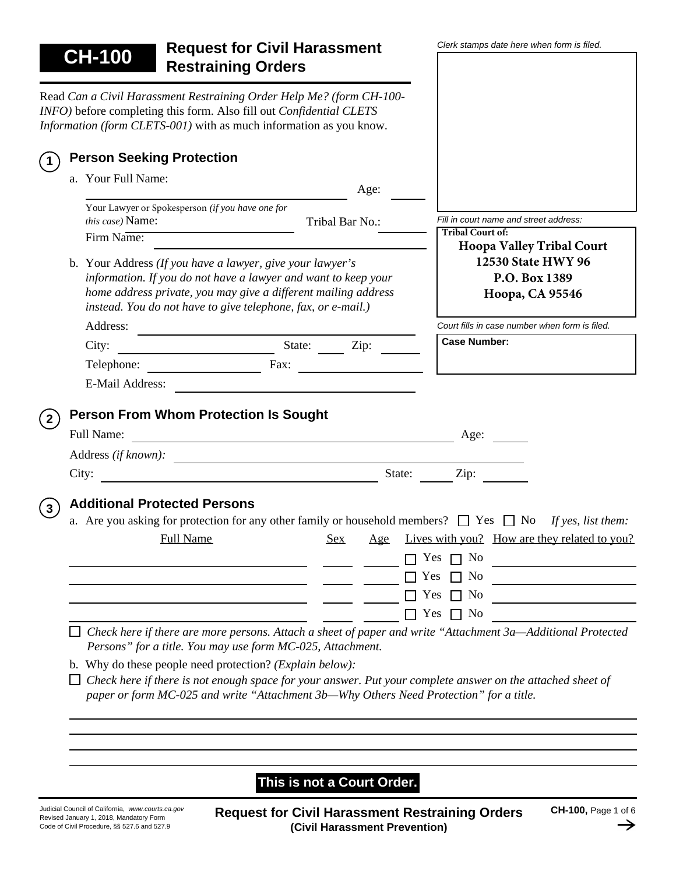*Clerk stamps date here when form is filed.* **CH-100 Request for Civil Harassment Restraining Orders** Read *Can a Civil Harassment Restraining Order Help Me? (form CH-100- INFO)* before completing this form. Also fill out *Confidential CLETS Information (form CLETS-001)* with as much information as you know. **Person Seeking Protection 1**a. Your Full Name: Age: Your Lawyer or Spokesperson *(if you have one for Fill in court name and street address: this case)* Name: Tribal Bar No.: **Tribal Court of:**  Firm Name: **Hoopa Valley Tribal Court 12530 State HWY 96** b. Your Address *(If you have a lawyer, give your lawyer's information. If you do not have a lawyer and want to keep your* **P.O. Box 1389** *home address private, you may give a different mailing address* **Hoopa, CA 95546** *instead. You do not have to give telephone, fax, or e-mail.)* Address: *Court fills in case number when form is filed.* **Case Number:** City: State: Zip: Telephone: Fax: E-Mail Address: **2 Person From Whom Protection Is Sought** Full Name: <u>Age:</u> Age: 1 Address *(if known):* City:  $\qquad \qquad$  State:  $\qquad \qquad$  Zip: **<sup>3</sup> Additional Protected Persons** a. Are you asking for protection for any other family or household members?  $\Box$  Yes  $\Box$  No *If yes, list them:* Full Name Sex Age Lives with you? How are they related to you?  $\Box$   $\Box$  Yes  $\Box$  No  $\Box$ <u> 1989 - Johann Barbara, martin a</u>  $\Box$  Yes  $\Box$  No  $\begin{tabular}{c} \multicolumn{3}{c} {\textbf{1}}\\ \multicolumn{3}{c} {\textbf{2}}\\ \multicolumn{3}{c} {\textbf{3}}\\ \multicolumn{3}{c} {\textbf{4}}\\ \multicolumn{3}{c} {\textbf{5}}\\ \multicolumn{3}{c} {\textbf{6}}\\ \multicolumn{3}{c} {\textbf{1}}\\ \multicolumn{3}{c} {\textbf{1}}\\ \multicolumn{3}{c} {\textbf{1}}\\ \multicolumn{3}{c} {\textbf{1}}\\ \multicolumn{3}{c} {\textbf{1}}\\ \multicolumn{3}{c} {\textbf{1}}\\ \multicolumn{3}{c} {\textbf{1}}\\ \multicolumn$  $\Box$  Yes  $\Box$  No *Check here if there are more persons. Attach a sheet of paper and write "Attachment 3a—Additional Protected Persons" for a title. You may use form MC-025, Attachment.* b. Why do these people need protection? *(Explain below): Check here if there is not enough space for your answer. Put your complete answer on the attached sheet of paper or form MC-025 and write "Attachment 3b—Why Others Need Protection" for a title.* **This is not a Court Order.**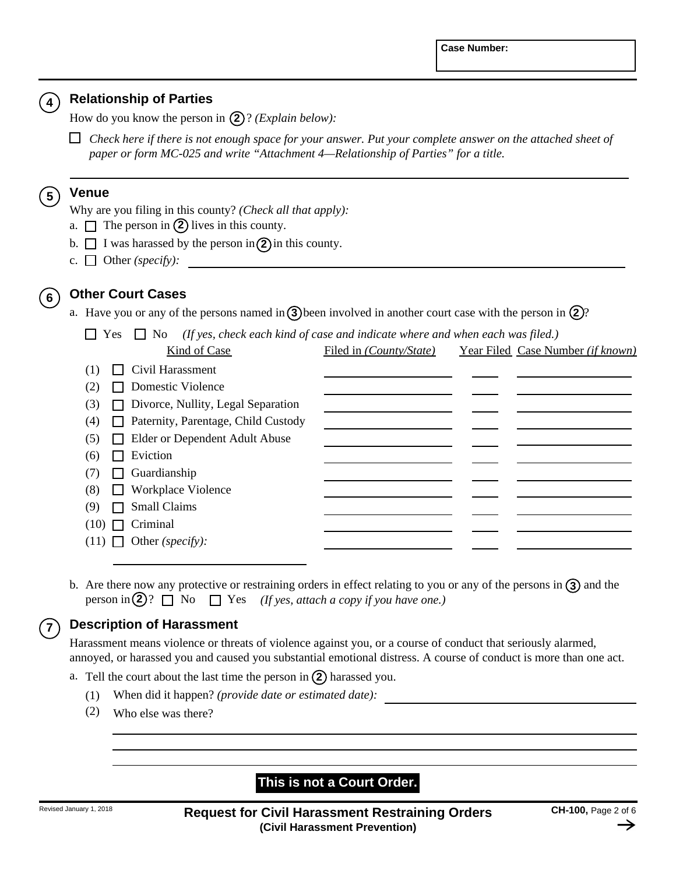#### **4 Relationship of Parties**

How do you know the person in **(2)**? *(Explain below)*:

*Check here if there is not enough space for your answer. Put your complete answer on the attached sheet of paper or form MC-025 and write "Attachment 4—Relationship of Parties" for a title.*

#### **5 Venue**

Why are you filing in this county? *(Check all that apply):*

- a.  $\Box$  The person in (2) lives in this county.
- b.  $\Box$  I was harassed by the person in  $\Omega$  in this county.
- Other *(specify):* c.

# **6 Other Court Cases**

a. Have you or any of the persons named in **3**) been involved in another court case with the person in **2**)?

Yes No *(If yes, check each kind of case and indicate where and when each was filed.)*

|     | Kind of Case                               | Filed in <i>(County/State)</i> | Year Filed Case Number (if known) |
|-----|--------------------------------------------|--------------------------------|-----------------------------------|
| (1) | $\Box$ Civil Harassment                    |                                |                                   |
| (2) | Domestic Violence                          |                                |                                   |
| (3) | □ Divorce, Nullity, Legal Separation       |                                |                                   |
| (4) | $\Box$ Paternity, Parentage, Child Custody |                                |                                   |
| (5) | Elder or Dependent Adult Abuse             |                                |                                   |
| (6) | Eviction                                   |                                |                                   |
| (7) | $\Box$ Guardianship                        |                                |                                   |
| (8) | □ Workplace Violence                       |                                |                                   |
| (9) | <b>Small Claims</b><br>$\mathbf{I}$        |                                |                                   |
|     | $(10)$ $\Box$ Criminal                     |                                |                                   |
|     | $(11)$ Other (specify):                    |                                |                                   |
|     |                                            |                                |                                   |

b. Are there now any protective or restraining orders in effect relating to you or any of the persons in **③** and the person in (2)?  $\Box$  No  $\Box$  Yes *(If yes, attach a copy if you have one.)* 

## **7 Description of Harassment**

Harassment means violence or threats of violence against you, or a course of conduct that seriously alarmed, annoyed, or harassed you and caused you substantial emotional distress. A course of conduct is more than one act.

- a. Tell the court about the last time the person in  $(2)$  harassed you.
	- (1) When did it happen? *(provide date or estimated date):*
	- (2) Who else was there?

## **This is not a Court Order.**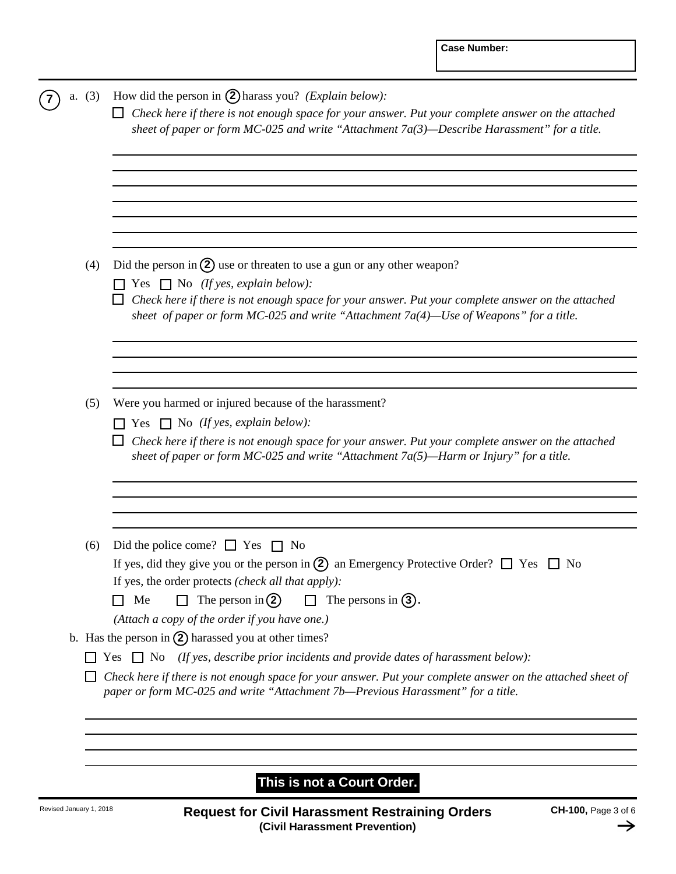| Did the person in $(2)$ use or threaten to use a gun or any other weapon?<br>Yes $\Box$ No (If yes, explain below):<br>Check here if there is not enough space for your answer. Put your complete answer on the attached<br>sheet of paper or form MC-025 and write "Attachment 7a(4)—Use of Weapons" for a title.          |
|-----------------------------------------------------------------------------------------------------------------------------------------------------------------------------------------------------------------------------------------------------------------------------------------------------------------------------|
|                                                                                                                                                                                                                                                                                                                             |
|                                                                                                                                                                                                                                                                                                                             |
| Were you harmed or injured because of the harassment?<br>$\Box$ Yes $\Box$ No (If yes, explain below):<br>Check here if there is not enough space for your answer. Put your complete answer on the attached<br>sheet of paper or form MC-025 and write "Attachment 7a(5)—Harm or Injury" for a title.                       |
| Did the police come? $\Box$ Yes $\Box$ No<br>If yes, did they give you or the person in (2) an Emergency Protective Order? $\Box$ Yes $\Box$ No<br>If yes, the order protects (check all that apply):<br>The person in $(2)$<br>$\Box$ The persons in (3).<br>Me<br>$\Box$<br>(Attach a copy of the order if you have one.) |
| b. Has the person in $(2)$ harassed you at other times?                                                                                                                                                                                                                                                                     |
| Yes $\Box$ No (If yes, describe prior incidents and provide dates of harassment below):                                                                                                                                                                                                                                     |
| Check here if there is not enough space for your answer. Put your complete answer on the attached sheet of<br>paper or form MC-025 and write "Attachment 7b-Previous Harassment" for a title.                                                                                                                               |
|                                                                                                                                                                                                                                                                                                                             |

# **This is not a Court Order.**

 $\rightarrow$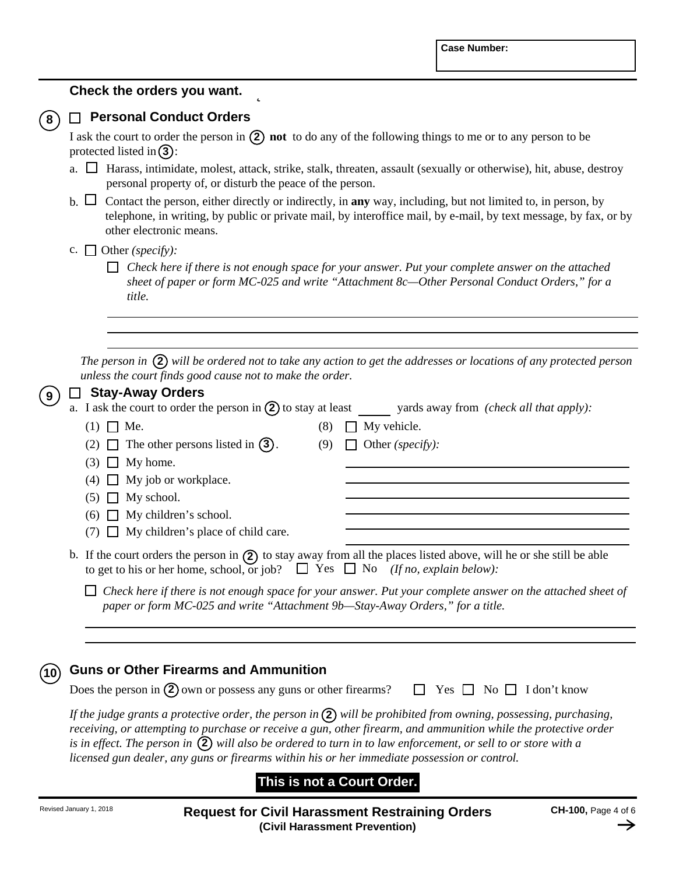### **Check the orders you want.**

### **8 Personal Conduct Orders**

I ask the court to order the person in  $(2)$  not to do any of the following things to me or to any person to be protected listed in  $(3)$ :

- Harass, intimidate, molest, attack, strike, stalk, threaten, assault (sexually or otherwise), hit, abuse, destroy a. personal property of, or disturb the peace of the person.
- Contact the person, either directly or indirectly, in **any** way, including, but not limited to, in person, by b. telephone, in writing, by public or private mail, by interoffice mail, by e-mail, by text message, by fax, or by other electronic means.
- Other *(specify):* c.
	- *Check here if there is not enough space for your answer. Put your complete answer on the attached sheet of paper or form MC-025 and write "Attachment 8c—Other Personal Conduct Orders," for a title.*

*The person in* (2) will be ordered not to take any action to get the addresses or locations of any protected person *unless the court finds good cause not to make the order.*

| 9 | <b>Stay-Away Orders</b>                                                                 |     |                                                                                                                        |
|---|-----------------------------------------------------------------------------------------|-----|------------------------------------------------------------------------------------------------------------------------|
|   |                                                                                         |     | a. I ask the court to order the person in $(2)$ to stay at least yards away from <i>(check all that apply)</i> :       |
|   | $(1)$ $\Box$ Me.                                                                        | (8) | My vehicle.                                                                                                            |
|   | (2) $\Box$ The other persons listed in (3).                                             | (9) | Other (specify):                                                                                                       |
|   | $(3)$ $\Box$ My home.                                                                   |     |                                                                                                                        |
|   | $(4)$ $\Box$ My job or workplace.                                                       |     |                                                                                                                        |
|   | $(5)$ $\Box$ My school.                                                                 |     |                                                                                                                        |
|   | $(6)$ $\Box$ My children's school.                                                      |     |                                                                                                                        |
|   | $(7)$ My children's place of child care.                                                |     |                                                                                                                        |
|   | to get to his or her home, school, or job? $\Box$ Yes $\Box$ No (If no, explain below): |     | b. If the court orders the person in $(2)$ to stay away from all the places listed above, will he or she still be able |
|   | paper or form MC-025 and write "Attachment 9b—Stay-Away Orders," for a title.           |     | Check here if there is not enough space for your answer. Put your complete answer on the attached sheet of             |
|   |                                                                                         |     |                                                                                                                        |

#### **10 Guns or Other Firearms and Ammunition**

| Does the person in $(2)$ own or possess any guns or other firearms? $\Box$ Yes $\Box$ No $\Box$ I don't know |  |  |  |  |  |
|--------------------------------------------------------------------------------------------------------------|--|--|--|--|--|
|--------------------------------------------------------------------------------------------------------------|--|--|--|--|--|

If the judge grants a protective order, the person in  $(2)$  will be prohibited from owning, possessing, purchasing, *receiving, or attempting to purchase or receive a gun, other firearm, and ammunition while the protective order*  is in effect. The person in  $(2)$  will also be ordered to turn in to law enforcement, or sell to or store with a *licensed gun dealer, any guns or firearms within his or her immediate possession or control.*

# **This is not a Court Order.**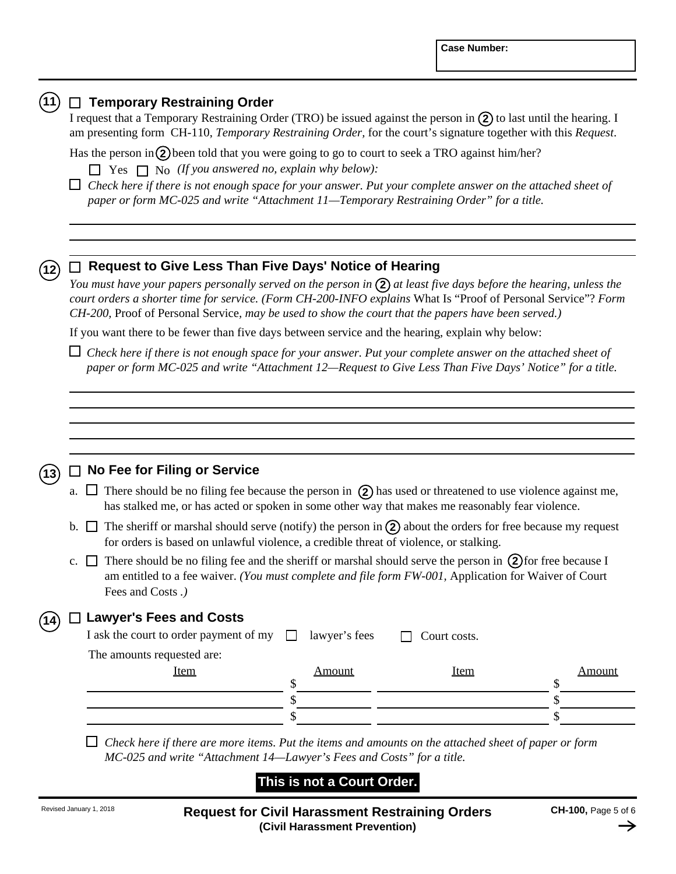|                                                                                                                                                                                                                                                                                                                                                                                                                                                      | $\Box$ Temporary Restraining Order<br>I request that a Temporary Restraining Order (TRO) be issued against the person in $(2)$ to last until the hearing. I<br>am presenting form CH-110, Temporary Restraining Order, for the court's signature together with this Request.                                                                 |                            |              |                     |  |  |  |
|------------------------------------------------------------------------------------------------------------------------------------------------------------------------------------------------------------------------------------------------------------------------------------------------------------------------------------------------------------------------------------------------------------------------------------------------------|----------------------------------------------------------------------------------------------------------------------------------------------------------------------------------------------------------------------------------------------------------------------------------------------------------------------------------------------|----------------------------|--------------|---------------------|--|--|--|
|                                                                                                                                                                                                                                                                                                                                                                                                                                                      | Has the person in $(2)$ been told that you were going to go to court to seek a TRO against him/her?                                                                                                                                                                                                                                          |                            |              |                     |  |  |  |
|                                                                                                                                                                                                                                                                                                                                                                                                                                                      | $\Box$ Yes $\Box$ No (If you answered no, explain why below):                                                                                                                                                                                                                                                                                |                            |              |                     |  |  |  |
|                                                                                                                                                                                                                                                                                                                                                                                                                                                      | $\Box$ Check here if there is not enough space for your answer. Put your complete answer on the attached sheet of<br>paper or form MC-025 and write "Attachment 11—Temporary Restraining Order" for a title.                                                                                                                                 |                            |              |                     |  |  |  |
|                                                                                                                                                                                                                                                                                                                                                                                                                                                      |                                                                                                                                                                                                                                                                                                                                              |                            |              |                     |  |  |  |
|                                                                                                                                                                                                                                                                                                                                                                                                                                                      | $\Box$ Request to Give Less Than Five Days' Notice of Hearing                                                                                                                                                                                                                                                                                |                            |              |                     |  |  |  |
|                                                                                                                                                                                                                                                                                                                                                                                                                                                      | You must have your papers personally served on the person in $(2)$ at least five days before the hearing, unless the<br>court orders a shorter time for service. (Form CH-200-INFO explains What Is "Proof of Personal Service"? Form<br>CH-200, Proof of Personal Service, may be used to show the court that the papers have been served.) |                            |              |                     |  |  |  |
|                                                                                                                                                                                                                                                                                                                                                                                                                                                      | If you want there to be fewer than five days between service and the hearing, explain why below:                                                                                                                                                                                                                                             |                            |              |                     |  |  |  |
|                                                                                                                                                                                                                                                                                                                                                                                                                                                      | $\Box$ Check here if there is not enough space for your answer. Put your complete answer on the attached sheet of<br>paper or form MC-025 and write "Attachment 12-Request to Give Less Than Five Days' Notice" for a title.                                                                                                                 |                            |              |                     |  |  |  |
|                                                                                                                                                                                                                                                                                                                                                                                                                                                      |                                                                                                                                                                                                                                                                                                                                              |                            |              |                     |  |  |  |
|                                                                                                                                                                                                                                                                                                                                                                                                                                                      |                                                                                                                                                                                                                                                                                                                                              |                            |              |                     |  |  |  |
|                                                                                                                                                                                                                                                                                                                                                                                                                                                      |                                                                                                                                                                                                                                                                                                                                              |                            |              |                     |  |  |  |
|                                                                                                                                                                                                                                                                                                                                                                                                                                                      |                                                                                                                                                                                                                                                                                                                                              |                            |              |                     |  |  |  |
|                                                                                                                                                                                                                                                                                                                                                                                                                                                      | $\Box$ No Fee for Filing or Service                                                                                                                                                                                                                                                                                                          |                            |              |                     |  |  |  |
| $\Box$ There should be no filing fee because the person in $\Diamond$ has used or threatened to use violence against me,<br>a.<br>has stalked me, or has acted or spoken in some other way that makes me reasonably fear violence.<br>b. $\Box$ The sheriff or marshal should serve (notify) the person in (2) about the orders for free because my request<br>for orders is based on unlawful violence, a credible threat of violence, or stalking. |                                                                                                                                                                                                                                                                                                                                              |                            |              |                     |  |  |  |
|                                                                                                                                                                                                                                                                                                                                                                                                                                                      |                                                                                                                                                                                                                                                                                                                                              |                            |              |                     |  |  |  |
|                                                                                                                                                                                                                                                                                                                                                                                                                                                      | <b>Lawyer's Fees and Costs</b>                                                                                                                                                                                                                                                                                                               |                            |              |                     |  |  |  |
|                                                                                                                                                                                                                                                                                                                                                                                                                                                      | I ask the court to order payment of my                                                                                                                                                                                                                                                                                                       | lawyer's fees<br>$\perp$   | Court costs. |                     |  |  |  |
|                                                                                                                                                                                                                                                                                                                                                                                                                                                      | The amounts requested are:                                                                                                                                                                                                                                                                                                                   |                            |              |                     |  |  |  |
|                                                                                                                                                                                                                                                                                                                                                                                                                                                      | <b>Item</b>                                                                                                                                                                                                                                                                                                                                  | <b>Amount</b><br>\$        | <b>Item</b>  | <b>Amount</b><br>\$ |  |  |  |
|                                                                                                                                                                                                                                                                                                                                                                                                                                                      |                                                                                                                                                                                                                                                                                                                                              | \$                         |              | \$                  |  |  |  |
|                                                                                                                                                                                                                                                                                                                                                                                                                                                      |                                                                                                                                                                                                                                                                                                                                              | \$                         |              | \$                  |  |  |  |
|                                                                                                                                                                                                                                                                                                                                                                                                                                                      |                                                                                                                                                                                                                                                                                                                                              |                            |              |                     |  |  |  |
|                                                                                                                                                                                                                                                                                                                                                                                                                                                      | Check here if there are more items. Put the items and amounts on the attached sheet of paper or form<br>MC-025 and write "Attachment 14-Lawyer's Fees and Costs" for a title.                                                                                                                                                                |                            |              |                     |  |  |  |
|                                                                                                                                                                                                                                                                                                                                                                                                                                                      |                                                                                                                                                                                                                                                                                                                                              |                            |              |                     |  |  |  |
|                                                                                                                                                                                                                                                                                                                                                                                                                                                      |                                                                                                                                                                                                                                                                                                                                              | This is not a Court Order. |              |                     |  |  |  |

 $\rightarrow$